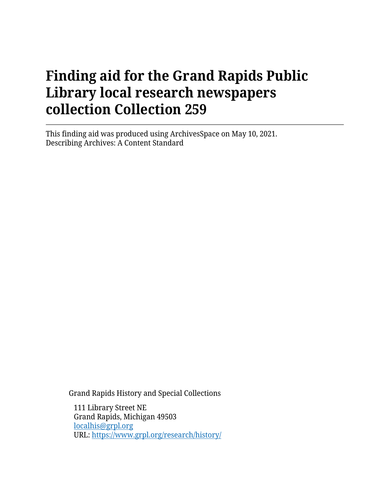This finding aid was produced using ArchivesSpace on May 10, 2021. Describing Archives: A Content Standard

Grand Rapids History and Special Collections

111 Library Street NE Grand Rapids, Michigan 49503 [localhis@grpl.org](mailto:localhis@grpl.org) URL:<https://www.grpl.org/research/history/>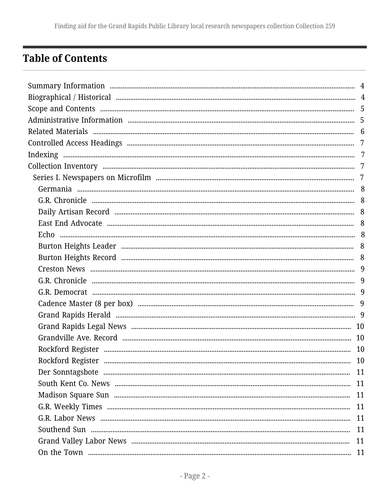# <span id="page-1-0"></span>**Table of Contents**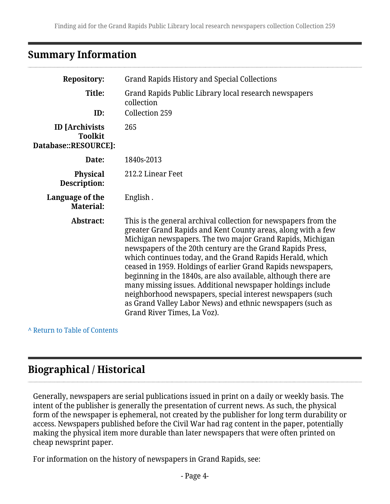## <span id="page-3-0"></span>**Summary Information**

| <b>Repository:</b>                                              | <b>Grand Rapids History and Special Collections</b>                                                                                                                                                                                                                                                                                                                                                                                                                                                                                                                                                                                                                                |
|-----------------------------------------------------------------|------------------------------------------------------------------------------------------------------------------------------------------------------------------------------------------------------------------------------------------------------------------------------------------------------------------------------------------------------------------------------------------------------------------------------------------------------------------------------------------------------------------------------------------------------------------------------------------------------------------------------------------------------------------------------------|
| Title:<br>ID:                                                   | Grand Rapids Public Library local research newspapers<br>collection<br>Collection 259                                                                                                                                                                                                                                                                                                                                                                                                                                                                                                                                                                                              |
| <b>ID</b> [Archivists<br><b>Toolkit</b><br>Database::RESOURCE]: | 265                                                                                                                                                                                                                                                                                                                                                                                                                                                                                                                                                                                                                                                                                |
| Date:                                                           | 1840s-2013                                                                                                                                                                                                                                                                                                                                                                                                                                                                                                                                                                                                                                                                         |
| <b>Physical</b><br>Description:                                 | 212.2 Linear Feet                                                                                                                                                                                                                                                                                                                                                                                                                                                                                                                                                                                                                                                                  |
| Language of the<br><b>Material:</b>                             | English.                                                                                                                                                                                                                                                                                                                                                                                                                                                                                                                                                                                                                                                                           |
| Abstract:                                                       | This is the general archival collection for newspapers from the<br>greater Grand Rapids and Kent County areas, along with a few<br>Michigan newspapers. The two major Grand Rapids, Michigan<br>newspapers of the 20th century are the Grand Rapids Press,<br>which continues today, and the Grand Rapids Herald, which<br>ceased in 1959. Holdings of earlier Grand Rapids newspapers,<br>beginning in the 1840s, are also available, although there are<br>many missing issues. Additional newspaper holdings include<br>neighborhood newspapers, special interest newspapers (such<br>as Grand Valley Labor News) and ethnic newspapers (such as<br>Grand River Times, La Voz). |

**^** [Return to Table of Contents](#page-1-0)

# <span id="page-3-1"></span>**Biographical / Historical**

Generally, newspapers are serial publications issued in print on a daily or weekly basis. The intent of the publisher is generally the presentation of current news. As such, the physical form of the newspaper is ephemeral, not created by the publisher for long term durability or access. Newspapers published before the Civil War had rag content in the paper, potentially making the physical item more durable than later newspapers that were often printed on cheap newsprint paper.

For information on the history of newspapers in Grand Rapids, see: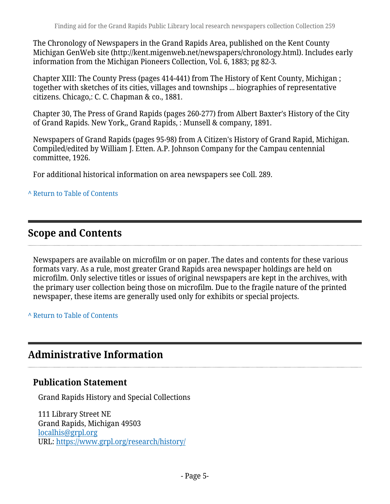The Chronology of Newspapers in the Grand Rapids Area, published on the Kent County Michigan GenWeb site (http://kent.migenweb.net/newspapers/chronology.html). Includes early information from the Michigan Pioneers Collection, Vol. 6, 1883; pg 82-3.

Chapter XIII: The County Press (pages 414-441) from The History of Kent County, Michigan ; together with sketches of its cities, villages and townships ... biographies of representative citizens. Chicago,: C. C. Chapman & co., 1881.

Chapter 30, The Press of Grand Rapids (pages 260-277) from Albert Baxter's History of the City of Grand Rapids. New York,, Grand Rapids, : Munsell & company, 1891.

Newspapers of Grand Rapids (pages 95-98) from A Citizen's History of Grand Rapid, Michigan. Compiled/edited by William J. Etten. A.P. Johnson Company for the Campau centennial committee, 1926.

For additional historical information on area newspapers see Coll. 289.

#### **^** [Return to Table of Contents](#page-1-0)

# <span id="page-4-0"></span>**Scope and Contents**

Newspapers are available on microfilm or on paper. The dates and contents for these various formats vary. As a rule, most greater Grand Rapids area newspaper holdings are held on microfilm. Only selective titles or issues of original newspapers are kept in the archives, with the primary user collection being those on microfilm. Due to the fragile nature of the printed newspaper, these items are generally used only for exhibits or special projects.

**^** [Return to Table of Contents](#page-1-0)

# <span id="page-4-1"></span>**Administrative Information**

### **Publication Statement**

Grand Rapids History and Special Collections

111 Library Street NE Grand Rapids, Michigan 49503 [localhis@grpl.org](mailto:localhis@grpl.org) URL:<https://www.grpl.org/research/history/>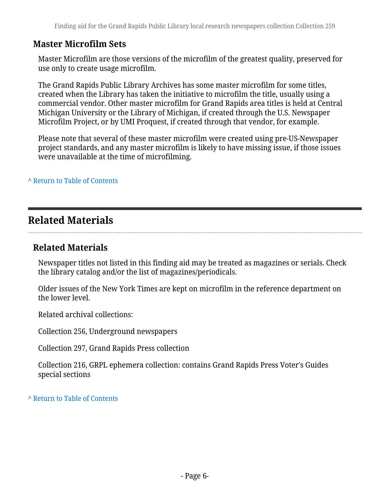### **Master Microfilm Sets**

Master Microfilm are those versions of the microfilm of the greatest quality, preserved for use only to create usage microfilm.

The Grand Rapids Public Library Archives has some master microfilm for some titles, created when the Library has taken the initiative to microfilm the title, usually using a commercial vendor. Other master microfilm for Grand Rapids area titles is held at Central Michigan University or the Library of Michigan, if created through the U.S. Newspaper Microfilm Project, or by UMI Proquest, if created through that vendor, for example.

Please note that several of these master microfilm were created using pre-US-Newspaper project standards, and any master microfilm is likely to have missing issue, if those issues were unavailable at the time of microfilming.

**^** [Return to Table of Contents](#page-1-0)

# <span id="page-5-0"></span>**Related Materials**

### **Related Materials**

Newspaper titles not listed in this finding aid may be treated as magazines or serials. Check the library catalog and/or the list of magazines/periodicals.

Older issues of the New York Times are kept on microfilm in the reference department on the lower level.

Related archival collections:

Collection 256, Underground newspapers

Collection 297, Grand Rapids Press collection

Collection 216, GRPL ephemera collection: contains Grand Rapids Press Voter's Guides special sections

**^** [Return to Table of Contents](#page-1-0)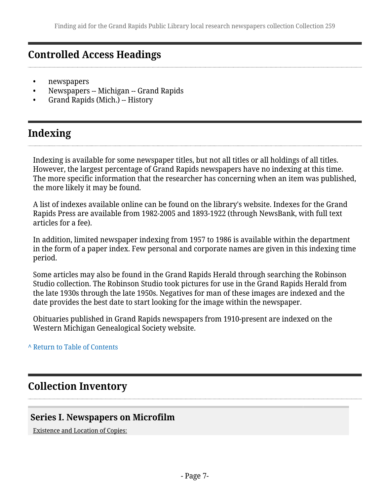# <span id="page-6-0"></span>**Controlled Access Headings**

- newspapers
- Newspapers -- Michigan -- Grand Rapids
- Grand Rapids (Mich.) -- History

# <span id="page-6-1"></span>**Indexing**

Indexing is available for some newspaper titles, but not all titles or all holdings of all titles. However, the largest percentage of Grand Rapids newspapers have no indexing at this time. The more specific information that the researcher has concerning when an item was published, the more likely it may be found.

A list of indexes available online can be found on the library's website. Indexes for the Grand Rapids Press are available from 1982-2005 and 1893-1922 (through NewsBank, with full text articles for a fee).

In addition, limited newspaper indexing from 1957 to 1986 is available within the department in the form of a paper index. Few personal and corporate names are given in this indexing time period.

Some articles may also be found in the Grand Rapids Herald through searching the Robinson Studio collection. The Robinson Studio took pictures for use in the Grand Rapids Herald from the late 1930s through the late 1950s. Negatives for man of these images are indexed and the date provides the best date to start looking for the image within the newspaper.

Obituaries published in Grand Rapids newspapers from 1910-present are indexed on the Western Michigan Genealogical Society website.

**^** [Return to Table of Contents](#page-1-0)

# <span id="page-6-2"></span>**Collection Inventory**

### <span id="page-6-3"></span>**Series I. Newspapers on Microfilm**

Existence and Location of Copies: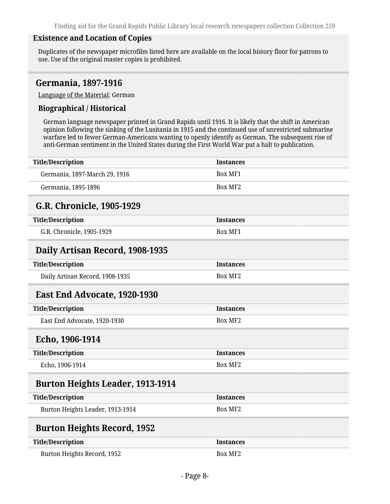#### **Existence and Location of Copies**

Duplicates of the newspaper microfilm listed here are available on the local history floor for patrons to use. Use of the original master copies is prohibited.

#### <span id="page-7-0"></span>**Germania, 1897-1916**

Language of the Material: German

#### **Biographical / Historical**

German language newspaper printed in Grand Rapids until 1916. It is likely that the shift in American opinion following the sinking of the Lusitania in 1915 and the continued use of unrestricted submarine warfare led to fewer German-Americans wanting to openly identify as German. The subsequent rise of anti-German sentiment in the United States during the First World War put a halt to publication.

<span id="page-7-6"></span><span id="page-7-5"></span><span id="page-7-4"></span><span id="page-7-3"></span><span id="page-7-2"></span><span id="page-7-1"></span>

| <b>Title/Description</b>                | <b>Instances</b> |
|-----------------------------------------|------------------|
| Germania, 1897-March 29, 1916           | <b>Box MF1</b>   |
| Germania, 1895-1896                     | <b>Box MF2</b>   |
| G.R. Chronicle, 1905-1929               |                  |
| <b>Title/Description</b>                | <b>Instances</b> |
| G.R. Chronicle, 1905-1929               | <b>Box MF1</b>   |
| Daily Artisan Record, 1908-1935         |                  |
| <b>Title/Description</b>                | <b>Instances</b> |
| Daily Artisan Record, 1908-1935         | <b>Box MF2</b>   |
| East End Advocate, 1920-1930            |                  |
| <b>Title/Description</b>                | <b>Instances</b> |
| East End Advocate, 1920-1930            | <b>Box MF2</b>   |
| Echo, 1906-1914                         |                  |
| <b>Title/Description</b>                | <b>Instances</b> |
| Echo, 1906-1914                         | <b>Box MF2</b>   |
| <b>Burton Heights Leader, 1913-1914</b> |                  |
| <b>Title/Description</b>                | <b>Instances</b> |
| Burton Heights Leader, 1913-1914        | <b>Box MF2</b>   |
| <b>Burton Heights Record, 1952</b>      |                  |
| <b>Title/Description</b>                | <b>Instances</b> |
| Burton Heights Record, 1952             | <b>Box MF2</b>   |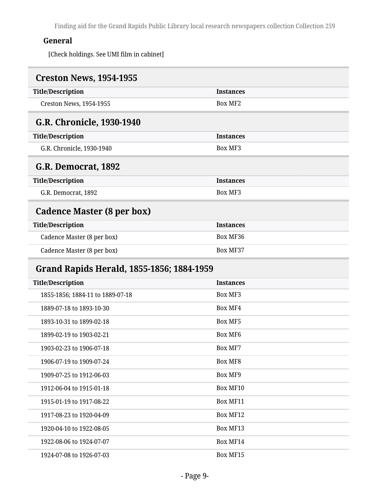## **General**

[Check holdings. See UMI film in cabinet]

<span id="page-8-4"></span><span id="page-8-3"></span><span id="page-8-2"></span><span id="page-8-1"></span><span id="page-8-0"></span>

| <b>Creston News, 1954-1955</b>            |                  |
|-------------------------------------------|------------------|
| <b>Title/Description</b>                  | <b>Instances</b> |
| <b>Creston News, 1954-1955</b>            | <b>Box MF2</b>   |
| <b>G.R. Chronicle, 1930-1940</b>          |                  |
| <b>Title/Description</b>                  | <b>Instances</b> |
| G.R. Chronicle, 1930-1940                 | <b>Box MF3</b>   |
| G.R. Democrat, 1892                       |                  |
| <b>Title/Description</b>                  | <b>Instances</b> |
| G.R. Democrat, 1892                       | <b>Box MF3</b>   |
| <b>Cadence Master (8 per box)</b>         |                  |
| <b>Title/Description</b>                  | <b>Instances</b> |
| Cadence Master (8 per box)                | Box MF36         |
| Cadence Master (8 per box)                | Box MF37         |
| Grand Rapids Herald, 1855-1856; 1884-1959 |                  |
| <b>Title/Description</b>                  | <b>Instances</b> |
| 1855-1856; 1884-11 to 1889-07-18          | Box MF3          |
| 1889-07-18 to 1893-10-30                  | <b>Box MF4</b>   |
| 1893-10-31 to 1899-02-18                  | <b>Box MF5</b>   |
| 1899-02-19 to 1903-02-21                  | <b>Box MF6</b>   |
| 1903-02-23 to 1906-07-18                  | <b>Box MF7</b>   |
| 1906-07-19 to 1909-07-24                  | <b>Box MF8</b>   |
| 1909-07-25 to 1912-06-03                  | Box MF9          |
| 1912-06-04 to 1915-01-18                  | Box MF10         |
| 1915-01-19 to 1917-08-22                  | Box MF11         |
| 1917-08-23 to 1920-04-09                  | Box MF12         |
| 1920-04-10 to 1922-08-05                  | Box MF13         |
| 1922-08-06 to 1924-07-07                  | Box MF14         |
| 1924-07-08 to 1926-07-03                  | Box MF15         |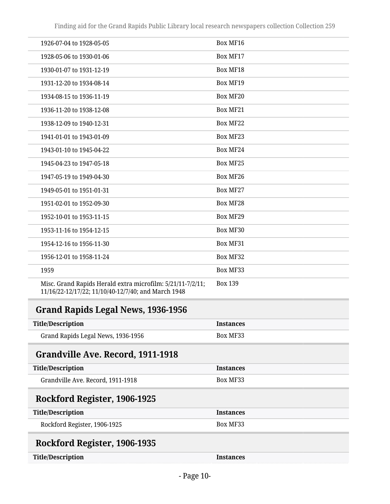| 1926-07-04 to 1928-05-05                                                                                          | Box MF16        |
|-------------------------------------------------------------------------------------------------------------------|-----------------|
| 1928-05-06 to 1930-01-06                                                                                          | Box MF17        |
| 1930-01-07 to 1931-12-19                                                                                          | <b>Box MF18</b> |
| 1931-12-20 to 1934-08-14                                                                                          | <b>Box MF19</b> |
| 1934-08-15 to 1936-11-19                                                                                          | Box MF20        |
| 1936-11-20 to 1938-12-08                                                                                          | Box MF21        |
| 1938-12-09 to 1940-12-31                                                                                          | Box MF22        |
| 1941-01-01 to 1943-01-09                                                                                          | Box MF23        |
| 1943-01-10 to 1945-04-22                                                                                          | Box MF24        |
| 1945-04-23 to 1947-05-18                                                                                          | <b>Box MF25</b> |
| 1947-05-19 to 1949-04-30                                                                                          | Box MF26        |
| 1949-05-01 to 1951-01-31                                                                                          | Box MF27        |
| 1951-02-01 to 1952-09-30                                                                                          | Box MF28        |
| 1952-10-01 to 1953-11-15                                                                                          | <b>Box MF29</b> |
| 1953-11-16 to 1954-12-15                                                                                          | Box MF30        |
| 1954-12-16 to 1956-11-30                                                                                          | Box MF31        |
| 1956-12-01 to 1958-11-24                                                                                          | Box MF32        |
| 1959                                                                                                              | Box MF33        |
| Misc. Grand Rapids Herald extra microfilm: 5/21/11-7/2/11;<br>11/16/22-12/17/22; 11/10/40-12/7/40; and March 1948 | <b>Box 139</b>  |
|                                                                                                                   |                 |

## <span id="page-9-0"></span>**Grand Rapids Legal News, 1936-1956**

| <b>Title/Description</b>           | <b>Instances</b> |
|------------------------------------|------------------|
| Grand Rapids Legal News, 1936-1956 | Box MF33         |

## <span id="page-9-1"></span>**Grandville Ave. Record, 1911-1918**

| Title/Description                 | <b>Instances</b> |
|-----------------------------------|------------------|
| Grandville Ave. Record, 1911-1918 | Box MF33         |
|                                   |                  |

# <span id="page-9-2"></span>**Rockford Register, 1906-1925**

| <b>Title/Description</b>     | <b>Instances</b> |
|------------------------------|------------------|
| Rockford Register, 1906-1925 | <b>Box ME33</b>  |
|                              |                  |

# <span id="page-9-3"></span>**Rockford Register, 1906-1935**

| <b>Title/Description</b> |  |
|--------------------------|--|
|                          |  |

**Instances**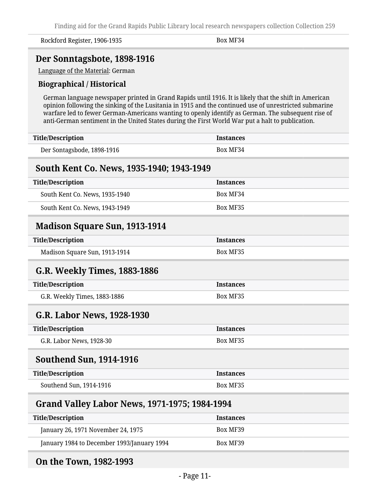Rockford Register, 1906-1935 Box MF34

### <span id="page-10-0"></span>**Der Sonntagsbote, 1898-1916**

Language of the Material: German

#### **Biographical / Historical**

German language newspaper printed in Grand Rapids until 1916. It is likely that the shift in American opinion following the sinking of the Lusitania in 1915 and the continued use of unrestricted submarine warfare led to fewer German-Americans wanting to openly identify as German. The subsequent rise of anti-German sentiment in the United States during the First World War put a halt to publication.

<span id="page-10-3"></span><span id="page-10-2"></span><span id="page-10-1"></span>

| <b>Title/Description</b>                      | <b>Instances</b> |
|-----------------------------------------------|------------------|
| Der Sontagsbode, 1898-1916                    | Box MF34         |
| South Kent Co. News, 1935-1940; 1943-1949     |                  |
| <b>Title/Description</b>                      | <b>Instances</b> |
| South Kent Co. News, 1935-1940                | Box MF34         |
| South Kent Co. News, 1943-1949                | Box MF35         |
| <b>Madison Square Sun, 1913-1914</b>          |                  |
| <b>Title/Description</b>                      | <b>Instances</b> |
| Madison Square Sun, 1913-1914                 | Box MF35         |
| <b>G.R. Weekly Times, 1883-1886</b>           |                  |
| <b>Title/Description</b>                      | <b>Instances</b> |
| G.R. Weekly Times, 1883-1886                  | Box MF35         |
| G.R. Labor News, 1928-1930                    |                  |
| <b>Title/Description</b>                      | <b>Instances</b> |
| G.R. Labor News, 1928-30                      | Box MF35         |
| <b>Southend Sun, 1914-1916</b>                |                  |
| <b>Title/Description</b>                      | <b>Instances</b> |
| Southend Sun, 1914-1916                       | Box MF35         |
| Grand Valley Labor News, 1971-1975; 1984-1994 |                  |
| <b>Title/Description</b>                      | <b>Instances</b> |
| January 26, 1971 November 24, 1975            | Box MF39         |

### <span id="page-10-7"></span>**On the Town, 1982-1993**

<span id="page-10-6"></span><span id="page-10-5"></span><span id="page-10-4"></span>January 1984 to December 1993/January 1994 Box MF39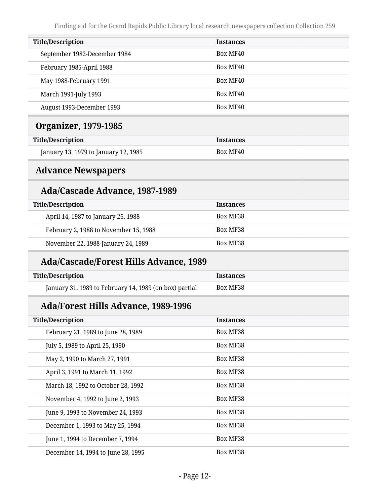<span id="page-11-1"></span><span id="page-11-0"></span>

| <b>Title/Description</b>                               | <b>Instances</b> |
|--------------------------------------------------------|------------------|
| September 1982-December 1984                           | Box MF40         |
| February 1985-April 1988                               | Box MF40         |
| May 1988-February 1991                                 | Box MF40         |
| March 1991-July 1993                                   | Box MF40         |
| August 1993-December 1993                              | Box MF40         |
| <b>Organizer, 1979-1985</b>                            |                  |
| <b>Title/Description</b>                               | <b>Instances</b> |
| January 13, 1979 to January 12, 1985                   | Box MF40         |
| <b>Advance Newspapers</b>                              |                  |
| <b>Ada/Cascade Advance, 1987-1989</b>                  |                  |
| <b>Title/Description</b>                               | <b>Instances</b> |
| April 14, 1987 to January 26, 1988                     | Box MF38         |
| February 2, 1988 to November 15, 1988                  | Box MF38         |
| November 22, 1988-January 24, 1989                     | Box MF38         |
| <b>Ada/Cascade/Forest Hills Advance, 1989</b>          |                  |
| <b>Title/Description</b>                               | <b>Instances</b> |
| January 31, 1989 to February 14, 1989 (on box) partial | Box MF38         |
| <b>Ada/Forest Hills Advance, 1989-1996</b>             |                  |
| <b>Title/Description</b>                               | <b>Instances</b> |
| February 21, 1989 to June 28, 1989                     | Box MF38         |
| July 5, 1989 to April 25, 1990                         | Box MF38         |
| May 2, 1990 to March 27, 1991                          | Box MF38         |
| April 3, 1991 to March 11, 1992                        | Box MF38         |
| March 18, 1992 to October 28, 1992                     | Box MF38         |
| November 4, 1992 to June 2, 1993                       | Box MF38         |
| June 9, 1993 to November 24, 1993                      | Box MF38         |
| December 1, 1993 to May 25, 1994                       | Box MF38         |
| June 1, 1994 to December 7, 1994                       | Box MF38         |
| December 14, 1994 to June 28, 1995                     | Box MF38         |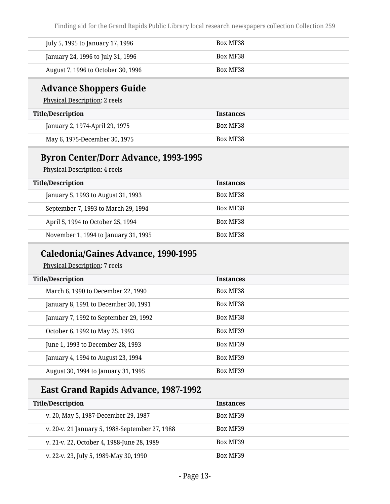| July 5, 1995 to January 17, 1996   | Box MF38        |
|------------------------------------|-----------------|
| January 24, 1996 to July 31, 1996  | <b>Box MF38</b> |
| August 7, 1996 to October 30, 1996 | Box MF38        |

### **Advance Shoppers Guide**

Physical Description: 2 reels

| <b>Title/Description</b>       | <b>Instances</b> |
|--------------------------------|------------------|
| January 2, 1974-April 29, 1975 | Box MF38         |
| May 6, 1975-December 30, 1975  | Box MF38         |

### **Byron Center/Dorr Advance, 1993-1995**

Physical Description: 4 reels

| <b>Title/Description</b>             | <b>Instances</b> |
|--------------------------------------|------------------|
| January 5, 1993 to August 31, 1993   | Box MF38         |
| September 7, 1993 to March 29, 1994  | Box MF38         |
| April 5, 1994 to October 25, 1994    | Box MF38         |
| November 1, 1994 to January 31, 1995 | Box MF38         |

### **Caledonia/Gaines Advance, 1990-1995**

Physical Description: 7 reels

| <b>Title/Description</b>              | <b>Instances</b> |
|---------------------------------------|------------------|
| March 6, 1990 to December 22, 1990    | Box MF38         |
| January 8, 1991 to December 30, 1991  | Box MF38         |
| January 7, 1992 to September 29, 1992 | Box MF38         |
| October 6, 1992 to May 25, 1993       | Box MF39         |
| June 1, 1993 to December 28, 1993     | Box MF39         |
| January 4, 1994 to August 23, 1994    | Box MF39         |
| August 30, 1994 to January 31, 1995   | Box MF39         |

## **East Grand Rapids Advance, 1987-1992**

| <b>Title/Description</b>                       | <b>Instances</b> |
|------------------------------------------------|------------------|
| v. 20, May 5, 1987-December 29, 1987           | Box MF39         |
| v. 20-v. 21 January 5, 1988-September 27, 1988 | Box MF39         |
| v. 21-v. 22, October 4, 1988-June 28, 1989     | Box MF39         |
| v. 22-v. 23, July 5, 1989-May 30, 1990         | Box MF39         |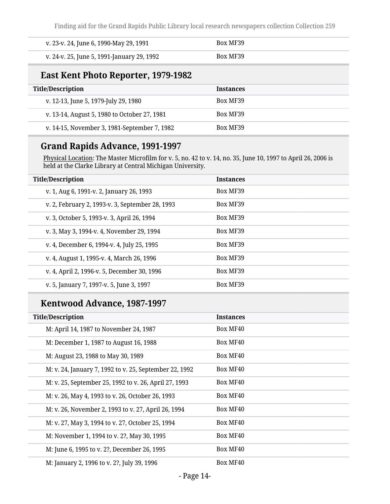| v. 23-v. 24, June 6, 1990-May 29, 1991     | Box MF39 |
|--------------------------------------------|----------|
| v. 24-v. 25, June 5, 1991-January 29, 1992 | Box MF39 |

## **East Kent Photo Reporter, 1979-1982**

| <b>Title/Description</b>                     | <b>Instances</b> |
|----------------------------------------------|------------------|
| v. 12-13, June 5, 1979-July 29, 1980         | Box MF39         |
| v. 13-14, August 5, 1980 to October 27, 1981 | Box MF39         |
| v. 14-15, November 3, 1981-September 7, 1982 | Box MF39         |

### **Grand Rapids Advance, 1991-1997**

Physical Location: The Master Microfilm for v. 5, no. 42 to v. 14, no. 35, June 10, 1997 to April 26, 2006 is held at the Clarke Library at Central Michigan University.

| <b>Title/Description</b>                        | <b>Instances</b> |
|-------------------------------------------------|------------------|
| v. 1, Aug 6, 1991-v. 2, January 26, 1993        | Box MF39         |
| v. 2, February 2, 1993-v. 3, September 28, 1993 | Box MF39         |
| v. 3, October 5, 1993-v. 3, April 26, 1994      | Box MF39         |
| v. 3, May 3, 1994-v. 4, November 29, 1994       | Box MF39         |
| v. 4, December 6, 1994-v. 4, July 25, 1995      | Box MF39         |
| v. 4, August 1, 1995-v. 4, March 26, 1996       | Box MF39         |
| v. 4, April 2, 1996-v. 5, December 30, 1996     | Box MF39         |
| v. 5, January 7, 1997-v. 5, June 3, 1997        | Box MF39         |
|                                                 |                  |

## **Kentwood Advance, 1987-1997**

| <b>Title/Description</b>                               | <b>Instances</b> |
|--------------------------------------------------------|------------------|
| M: April 14, 1987 to November 24, 1987                 | Box MF40         |
| M: December 1, 1987 to August 16, 1988                 | Box MF40         |
| M: August 23, 1988 to May 30, 1989                     | Box MF40         |
| M: v. 24, January 7, 1992 to v. 25, September 22, 1992 | Box MF40         |
| M: v. 25, September 25, 1992 to v. 26, April 27, 1993  | Box MF40         |
| M: v. 26, May 4, 1993 to v. 26, October 26, 1993       | Box MF40         |
| M: v. 26, November 2, 1993 to v. 27, April 26, 1994    | Box MF40         |
| M: v. 27, May 3, 1994 to v. 27, October 25, 1994       | Box MF40         |
| M: November 1, 1994 to v. 2?, May 30, 1995             | Box MF40         |
| M: June 6, 1995 to v. 2?, December 26, 1995            | Box MF40         |
| M: January 2, 1996 to v. 2?, July 39, 1996             | Box MF40         |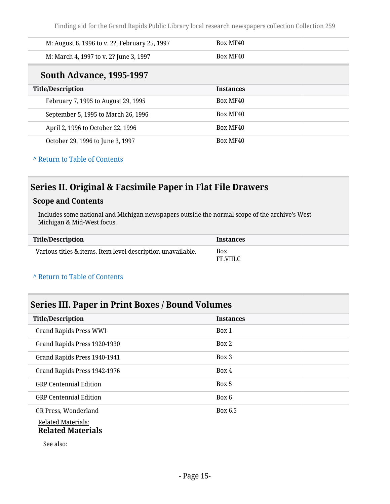| M: August 6, 1996 to v. 2?, February 25, 1997 | Box MF40         |
|-----------------------------------------------|------------------|
| M: March 4, 1997 to v. 2? June 3, 1997        | Box MF40         |
| <b>South Advance, 1995-1997</b>               |                  |
| <b>Title/Description</b>                      | <b>Instances</b> |
| February 7, 1995 to August 29, 1995           | Box MF40         |
| September 5, 1995 to March 26, 1996           | Box MF40         |
| April 2, 1996 to October 22, 1996             | Box MF40         |
| October 29, 1996 to June 3, 1997              | Box MF40         |

#### **^** [Return to Table of Contents](#page-1-0)

## <span id="page-14-0"></span>**Series II. Original & Facsimile Paper in Flat File Drawers**

#### **Scope and Contents**

Includes some national and Michigan newspapers outside the normal scope of the archive's West Michigan & Mid-West focus.

| Title/Description                                           | <b>Instances</b>        |
|-------------------------------------------------------------|-------------------------|
| Various titles & items. Item level description unavailable. | <b>Box</b><br>FF.VIII.C |

#### **^** [Return to Table of Contents](#page-1-0)

#### <span id="page-14-1"></span>**Series III. Paper in Print Boxes / Bound Volumes**

| <b>Title/Description</b>                          | <b>Instances</b> |
|---------------------------------------------------|------------------|
| <b>Grand Rapids Press WWI</b>                     | Box 1            |
| Grand Rapids Press 1920-1930                      | Box 2            |
| Grand Rapids Press 1940-1941                      | Box 3            |
| Grand Rapids Press 1942-1976                      | Box 4            |
| <b>GRP Centennial Edition</b>                     | Box 5            |
| <b>GRP Centennial Edition</b>                     | Box 6            |
| GR Press, Wonderland<br><b>Related Materials:</b> | Box 6.5          |
| <b>Related Materials</b>                          |                  |
| 0.11.1                                            |                  |

See also: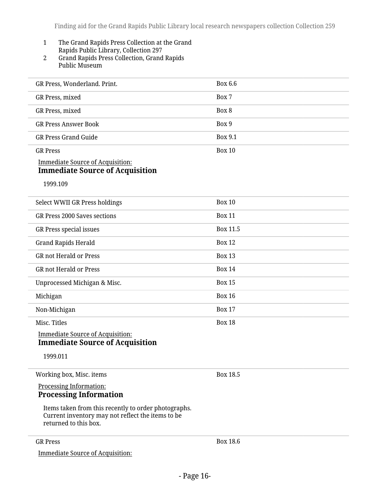#### 1 The Grand Rapids Press Collection at the Grand Rapids Public Library, Collection 297

2 Grand Rapids Press Collection, Grand Rapids Public Museum

| GR Press, Wonderland. Print.                                                                                                       | Box 6.6       |
|------------------------------------------------------------------------------------------------------------------------------------|---------------|
| GR Press, mixed                                                                                                                    | Box 7         |
| GR Press, mixed                                                                                                                    | Box 8         |
| <b>GR Press Answer Book</b>                                                                                                        | Box 9         |
| <b>GR Press Grand Guide</b>                                                                                                        | Box 9.1       |
| <b>GR Press</b>                                                                                                                    | <b>Box 10</b> |
| <b>Immediate Source of Acquisition:</b><br><b>Immediate Source of Acquisition</b>                                                  |               |
| 1999.109                                                                                                                           |               |
| Select WWII GR Press holdings                                                                                                      | <b>Box 10</b> |
| <b>GR Press 2000 Saves sections</b>                                                                                                | <b>Box 11</b> |
| GR Press special issues                                                                                                            | Box 11.5      |
| <b>Grand Rapids Herald</b>                                                                                                         | <b>Box 12</b> |
| <b>GR not Herald or Press</b>                                                                                                      | <b>Box 13</b> |
| <b>GR not Herald or Press</b>                                                                                                      | <b>Box 14</b> |
| Unprocessed Michigan & Misc.                                                                                                       | <b>Box 15</b> |
| Michigan                                                                                                                           | <b>Box 16</b> |
| Non-Michigan                                                                                                                       | <b>Box 17</b> |
| Misc. Titles                                                                                                                       | <b>Box 18</b> |
| <b>Immediate Source of Acquisition:</b><br><b>Immediate Source of Acquisition</b>                                                  |               |
| 1999.011                                                                                                                           |               |
| Working box, Misc. items                                                                                                           | Box 18.5      |
| <b>Processing Information:</b><br><b>Processing Information</b>                                                                    |               |
| Items taken from this recently to order photographs.<br>Current inventory may not reflect the items to be<br>returned to this box. |               |
|                                                                                                                                    |               |

GR Press

Immediate Source of Acquisition: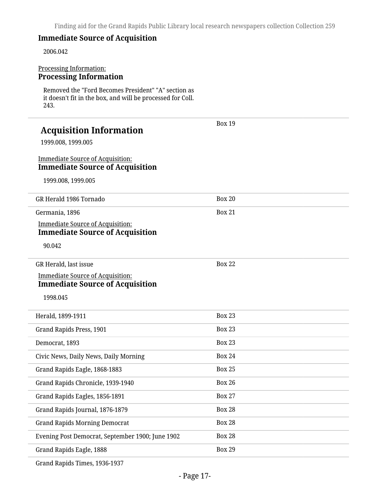#### **Immediate Source of Acquisition**

2006.042

#### Processing Information: **Processing Information**

Removed the "Ford Becomes President" "A" section as it doesn't fit in the box, and will be processed for Coll. 243.

| <b>Acquisition Information</b><br>1999.008, 1999.005<br><b>Immediate Source of Acquisition:</b><br><b>Immediate Source of Acquisition</b><br>1999.008, 1999.005 | <b>Box 19</b> |
|-----------------------------------------------------------------------------------------------------------------------------------------------------------------|---------------|
| GR Herald 1986 Tornado                                                                                                                                          | <b>Box 20</b> |
| Germania, 1896                                                                                                                                                  | <b>Box 21</b> |
| <b>Immediate Source of Acquisition:</b><br><b>Immediate Source of Acquisition</b>                                                                               |               |
| 90.042                                                                                                                                                          |               |
| GR Herald, last issue                                                                                                                                           | <b>Box 22</b> |
| <b>Immediate Source of Acquisition:</b>                                                                                                                         |               |
| <b>Immediate Source of Acquisition</b><br>1998.045                                                                                                              |               |
| Herald, 1899-1911                                                                                                                                               | <b>Box 23</b> |
| Grand Rapids Press, 1901                                                                                                                                        | <b>Box 23</b> |
| Democrat, 1893                                                                                                                                                  | <b>Box 23</b> |
| Civic News, Daily News, Daily Morning                                                                                                                           | <b>Box 24</b> |
| Grand Rapids Eagle, 1868-1883                                                                                                                                   | <b>Box 25</b> |
| Grand Rapids Chronicle, 1939-1940                                                                                                                               | <b>Box 26</b> |
|                                                                                                                                                                 |               |
| Grand Rapids Eagles, 1856-1891                                                                                                                                  | <b>Box 27</b> |
| Grand Rapids Journal, 1876-1879                                                                                                                                 | <b>Box 28</b> |
| <b>Grand Rapids Morning Democrat</b>                                                                                                                            | <b>Box 28</b> |
| Evening Post Democrat, September 1900; June 1902                                                                                                                | <b>Box 28</b> |

Grand Rapids Times, 1936-1937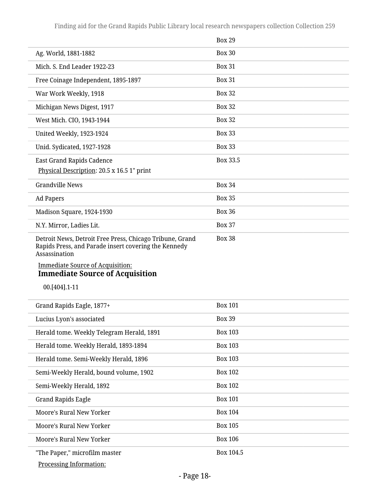|                                                                                                                                                                                                                                         | <b>Box 29</b>  |
|-----------------------------------------------------------------------------------------------------------------------------------------------------------------------------------------------------------------------------------------|----------------|
| Ag. World, 1881-1882                                                                                                                                                                                                                    | <b>Box 30</b>  |
| Mich. S. End Leader 1922-23                                                                                                                                                                                                             | <b>Box 31</b>  |
| Free Coinage Independent, 1895-1897                                                                                                                                                                                                     | <b>Box 31</b>  |
| War Work Weekly, 1918                                                                                                                                                                                                                   | <b>Box 32</b>  |
| Michigan News Digest, 1917                                                                                                                                                                                                              | <b>Box 32</b>  |
| West Mich. CIO, 1943-1944                                                                                                                                                                                                               | <b>Box 32</b>  |
| United Weekly, 1923-1924                                                                                                                                                                                                                | <b>Box 33</b>  |
| Unid. Sydicated, 1927-1928                                                                                                                                                                                                              | <b>Box 33</b>  |
| <b>East Grand Rapids Cadence</b>                                                                                                                                                                                                        | Box 33.5       |
| Physical Description: 20.5 x 16.5 1" print                                                                                                                                                                                              |                |
| <b>Grandville News</b>                                                                                                                                                                                                                  | <b>Box 34</b>  |
| <b>Ad Papers</b>                                                                                                                                                                                                                        | <b>Box 35</b>  |
| Madison Square, 1924-1930                                                                                                                                                                                                               | <b>Box 36</b>  |
| N.Y. Mirror, Ladies Lit.                                                                                                                                                                                                                | <b>Box 37</b>  |
| Detroit News, Detroit Free Press, Chicago Tribune, Grand<br>Rapids Press, and Parade insert covering the Kennedy<br>Assassination<br><b>Immediate Source of Acquisition:</b><br><b>Immediate Source of Acquisition</b><br>00.[404].1-11 | <b>Box 38</b>  |
| Grand Rapids Eagle, 1877+                                                                                                                                                                                                               | <b>Box 101</b> |
| Lucius Lyon's associated                                                                                                                                                                                                                | <b>Box 39</b>  |
| Herald tome. Weekly Telegram Herald, 1891                                                                                                                                                                                               | <b>Box 103</b> |
| Herald tome. Weekly Herald, 1893-1894                                                                                                                                                                                                   | <b>Box 103</b> |
| Herald tome. Semi-Weekly Herald, 1896                                                                                                                                                                                                   | <b>Box 103</b> |
| Semi-Weekly Herald, bound volume, 1902                                                                                                                                                                                                  | <b>Box 102</b> |
| Semi-Weekly Herald, 1892                                                                                                                                                                                                                | <b>Box 102</b> |
| <b>Grand Rapids Eagle</b>                                                                                                                                                                                                               | <b>Box 101</b> |
| Moore's Rural New Yorker                                                                                                                                                                                                                | <b>Box 104</b> |
| Moore's Rural New Yorker                                                                                                                                                                                                                | <b>Box 105</b> |
| Moore's Rural New Yorker                                                                                                                                                                                                                | <b>Box 106</b> |
| "The Paper," microfilm master<br><b>Processing Information:</b>                                                                                                                                                                         | Box 104.5      |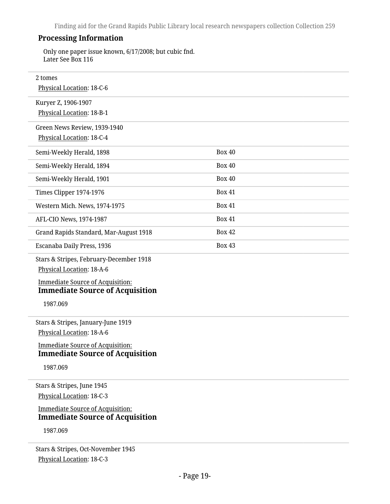#### **Processing Information**

Only one paper issue known, 6/17/2008; but cubic fnd. Later See Box 116

| 2 tomes                                                                           |               |  |
|-----------------------------------------------------------------------------------|---------------|--|
| Physical Location: 18-C-6                                                         |               |  |
| Kuryer Z, 1906-1907                                                               |               |  |
| Physical Location: 18-B-1                                                         |               |  |
| Green News Review, 1939-1940                                                      |               |  |
| Physical Location: 18-C-4                                                         |               |  |
| Semi-Weekly Herald, 1898                                                          | <b>Box 40</b> |  |
| Semi-Weekly Herald, 1894                                                          | <b>Box 40</b> |  |
| Semi-Weekly Herald, 1901                                                          | <b>Box 40</b> |  |
| Times Clipper 1974-1976                                                           | <b>Box 41</b> |  |
| Western Mich. News, 1974-1975                                                     | <b>Box 41</b> |  |
| AFL-CIO News, 1974-1987                                                           | <b>Box 41</b> |  |
| Grand Rapids Standard, Mar-August 1918                                            | <b>Box 42</b> |  |
| Escanaba Daily Press, 1936                                                        | <b>Box 43</b> |  |
| Stars & Stripes, February-December 1918                                           |               |  |
| Physical Location: 18-A-6                                                         |               |  |
| <b>Immediate Source of Acquisition:</b><br><b>Immediate Source of Acquisition</b> |               |  |
| 1987.069                                                                          |               |  |
| Stars & Stripes, January-June 1919                                                |               |  |
| Physical Location: 18-A-6                                                         |               |  |
| <b>Immediate Source of Acquisition:</b><br><b>Immediate Source of Acquisition</b> |               |  |
| 1987.069                                                                          |               |  |
| Stars & Stripes, June 1945                                                        |               |  |
| Physical Location: 18-C-3                                                         |               |  |
| <b>Immediate Source of Acquisition:</b>                                           |               |  |
| <b>Immediate Source of Acquisition</b>                                            |               |  |
| 1987.069                                                                          |               |  |
| Stars & Stripes, Oct-November 1945                                                |               |  |

Physical Location: 18-C-3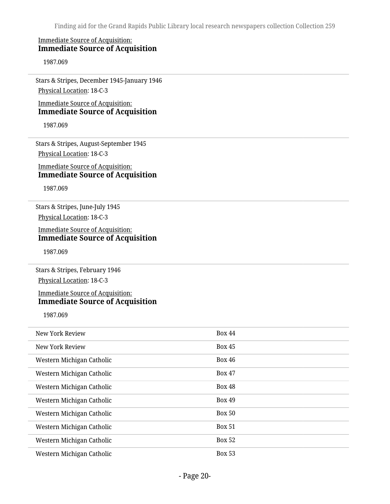#### Immediate Source of Acquisition: **Immediate Source of Acquisition**

1987.069

Stars & Stripes, December 1945-January 1946 Physical Location: 18-C-3

Immediate Source of Acquisition: **Immediate Source of Acquisition**

1987.069

Stars & Stripes, August-September 1945 Physical Location: 18-C-3

#### Immediate Source of Acquisition: **Immediate Source of Acquisition**

1987.069

Stars & Stripes, June-July 1945 Physical Location: 18-C-3

Immediate Source of Acquisition: **Immediate Source of Acquisition**

1987.069

Stars & Stripes, February 1946 Physical Location: 18-C-3

#### Immediate Source of Acquisition: **Immediate Source of Acquisition**

1987.069

| New York Review           | <b>Box 44</b> |
|---------------------------|---------------|
| New York Review           | <b>Box 45</b> |
| Western Michigan Catholic | <b>Box 46</b> |
| Western Michigan Catholic | <b>Box 47</b> |
| Western Michigan Catholic | <b>Box 48</b> |
| Western Michigan Catholic | <b>Box 49</b> |
| Western Michigan Catholic | <b>Box 50</b> |
| Western Michigan Catholic | <b>Box 51</b> |
| Western Michigan Catholic | <b>Box 52</b> |
| Western Michigan Catholic | <b>Box 53</b> |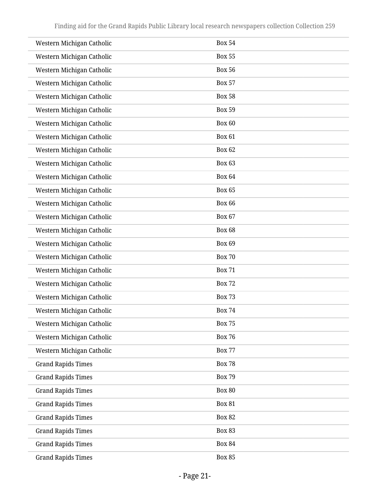| Western Michigan Catholic | <b>Box 54</b> |
|---------------------------|---------------|
| Western Michigan Catholic | <b>Box 55</b> |
| Western Michigan Catholic | <b>Box 56</b> |
| Western Michigan Catholic | <b>Box 57</b> |
| Western Michigan Catholic | <b>Box 58</b> |
| Western Michigan Catholic | <b>Box 59</b> |
| Western Michigan Catholic | Box 60        |
| Western Michigan Catholic | <b>Box 61</b> |
| Western Michigan Catholic | <b>Box 62</b> |
| Western Michigan Catholic | <b>Box 63</b> |
| Western Michigan Catholic | <b>Box 64</b> |
| Western Michigan Catholic | <b>Box 65</b> |
| Western Michigan Catholic | <b>Box 66</b> |
| Western Michigan Catholic | <b>Box 67</b> |
| Western Michigan Catholic | <b>Box 68</b> |
| Western Michigan Catholic | Box 69        |
| Western Michigan Catholic | <b>Box 70</b> |
| Western Michigan Catholic | <b>Box 71</b> |
| Western Michigan Catholic | <b>Box 72</b> |
| Western Michigan Catholic | <b>Box 73</b> |
| Western Michigan Catholic | <b>Box 74</b> |
| Western Michigan Catholic | <b>Box 75</b> |
| Western Michigan Catholic | <b>Box 76</b> |
| Western Michigan Catholic | <b>Box 77</b> |
| <b>Grand Rapids Times</b> | <b>Box 78</b> |
| <b>Grand Rapids Times</b> | <b>Box 79</b> |
| <b>Grand Rapids Times</b> | <b>Box 80</b> |
| <b>Grand Rapids Times</b> | <b>Box 81</b> |
| <b>Grand Rapids Times</b> | <b>Box 82</b> |
| <b>Grand Rapids Times</b> | <b>Box 83</b> |
| <b>Grand Rapids Times</b> | <b>Box 84</b> |
| <b>Grand Rapids Times</b> | <b>Box 85</b> |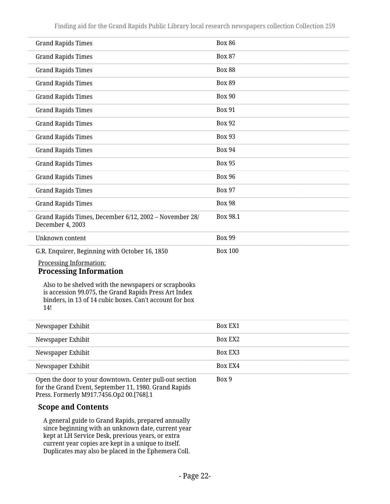| <b>Grand Rapids Times</b>                                                                                                                                                       | <b>Box 86</b>  |
|---------------------------------------------------------------------------------------------------------------------------------------------------------------------------------|----------------|
| <b>Grand Rapids Times</b>                                                                                                                                                       | <b>Box 87</b>  |
| <b>Grand Rapids Times</b>                                                                                                                                                       | <b>Box 88</b>  |
| <b>Grand Rapids Times</b>                                                                                                                                                       | <b>Box 89</b>  |
| <b>Grand Rapids Times</b>                                                                                                                                                       | <b>Box 90</b>  |
| <b>Grand Rapids Times</b>                                                                                                                                                       | <b>Box 91</b>  |
| <b>Grand Rapids Times</b>                                                                                                                                                       | <b>Box 92</b>  |
| <b>Grand Rapids Times</b>                                                                                                                                                       | <b>Box 93</b>  |
| <b>Grand Rapids Times</b>                                                                                                                                                       | <b>Box 94</b>  |
| <b>Grand Rapids Times</b>                                                                                                                                                       | <b>Box 95</b>  |
| <b>Grand Rapids Times</b>                                                                                                                                                       | <b>Box 96</b>  |
| <b>Grand Rapids Times</b>                                                                                                                                                       | <b>Box 97</b>  |
| <b>Grand Rapids Times</b>                                                                                                                                                       | <b>Box 98</b>  |
| Grand Rapids Times, December 6/12, 2002 - November 28/<br>December 4, 2003                                                                                                      | Box 98.1       |
| Unknown content                                                                                                                                                                 | <b>Box 99</b>  |
| G.R. Enquirer, Beginning with October 16, 1850                                                                                                                                  | <b>Box 100</b> |
| Processing Information:<br><b>Processing Information</b>                                                                                                                        |                |
| Also to be shelved with the newspapers or scrapbooks<br>is accession 99.075, the Grand Rapids Press Art Index<br>binders, in 13 of 14 cubic boxes. Can't account for box<br>14! |                |
| Newspaper Exhibit                                                                                                                                                               | <b>Box EX1</b> |
| Newspaper Exhibit                                                                                                                                                               | Box EX2        |
| Newspaper Exhibit                                                                                                                                                               | Box EX3        |
| Newspaper Exhibit                                                                                                                                                               | Box EX4        |
| Open the door to your downtown. Center pull-out section                                                                                                                         | Box 9          |

Open the door to your downtown. Center pull-out section for the Grand Event, September 11, 1980. Grand Rapids Press. Formerly M917.7456.Op2 00.[768].1

#### **Scope and Contents**

A general guide to Grand Rapids, prepared annually since beginning with an unknown date, current year kept at LH Service Desk, previous years, or extra current year copies are kept in a unique to itself. Duplicates may also be placed in the Ephemera Coll.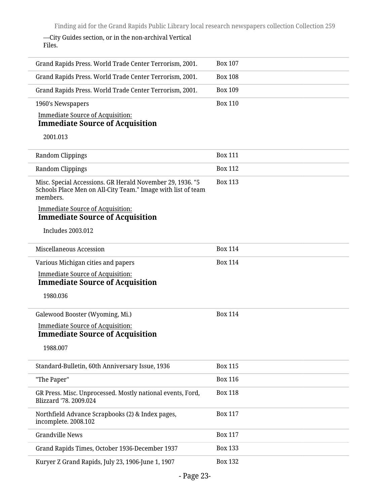—City Guides section, or in the non-archival Vertical Files.

| Grand Rapids Press. World Trade Center Terrorism, 2001.                                                                               | <b>Box 107</b> |
|---------------------------------------------------------------------------------------------------------------------------------------|----------------|
| Grand Rapids Press. World Trade Center Terrorism, 2001.                                                                               | <b>Box 108</b> |
| Grand Rapids Press. World Trade Center Terrorism, 2001.                                                                               | <b>Box 109</b> |
| 1960's Newspapers                                                                                                                     | <b>Box 110</b> |
| <b>Immediate Source of Acquisition:</b><br><b>Immediate Source of Acquisition</b>                                                     |                |
| 2001.013                                                                                                                              |                |
|                                                                                                                                       |                |
| Random Clippings                                                                                                                      | <b>Box 111</b> |
| Random Clippings                                                                                                                      | <b>Box 112</b> |
| Misc. Special Accessions. GR Herald November 29, 1936. "5<br>Schools Place Men on All-City Team." Image with list of team<br>members. | <b>Box 113</b> |
| <b>Immediate Source of Acquisition:</b><br><b>Immediate Source of Acquisition</b>                                                     |                |
| <b>Includes 2003.012</b>                                                                                                              |                |
| Miscellaneous Accession                                                                                                               | <b>Box 114</b> |
| Various Michigan cities and papers                                                                                                    | <b>Box 114</b> |
| <b>Immediate Source of Acquisition:</b>                                                                                               |                |
| <b>Immediate Source of Acquisition</b>                                                                                                |                |
| 1980.036                                                                                                                              |                |
| Galewood Booster (Wyoming, Mi.)                                                                                                       | <b>Box 114</b> |
| <b>Immediate Source of Acquisition:</b><br><b>Immediate Source of Acquisition</b>                                                     |                |
| 1988.007                                                                                                                              |                |
|                                                                                                                                       |                |
| Standard-Bulletin, 60th Anniversary Issue, 1936                                                                                       | <b>Box 115</b> |
| "The Paper"                                                                                                                           | <b>Box 116</b> |
| GR Press. Misc. Unprocessed. Mostly national events, Ford,<br>Blizzard '78. 2009.024                                                  | <b>Box 118</b> |
| Northfield Advance Scrapbooks (2) & Index pages,<br>incomplete. 2008.102                                                              | <b>Box 117</b> |
| <b>Grandville News</b>                                                                                                                | <b>Box 117</b> |
| Grand Rapids Times, October 1936-December 1937                                                                                        | <b>Box 133</b> |
| Kuryer Z Grand Rapids, July 23, 1906-June 1, 1907                                                                                     | <b>Box 132</b> |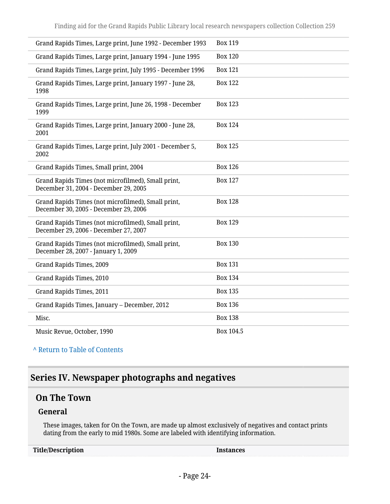| Grand Rapids Times, Large print, June 1992 - December 1993                                  | <b>Box 119</b> |
|---------------------------------------------------------------------------------------------|----------------|
| Grand Rapids Times, Large print, January 1994 - June 1995                                   | <b>Box 120</b> |
| Grand Rapids Times, Large print, July 1995 - December 1996                                  | <b>Box 121</b> |
| Grand Rapids Times, Large print, January 1997 - June 28,<br>1998                            | <b>Box 122</b> |
| Grand Rapids Times, Large print, June 26, 1998 - December<br>1999                           | <b>Box 123</b> |
| Grand Rapids Times, Large print, January 2000 - June 28,<br>2001                            | <b>Box 124</b> |
| Grand Rapids Times, Large print, July 2001 - December 5,<br>2002                            | <b>Box 125</b> |
| Grand Rapids Times, Small print, 2004                                                       | <b>Box 126</b> |
| Grand Rapids Times (not microfilmed), Small print,<br>December 31, 2004 - December 29, 2005 | <b>Box 127</b> |
| Grand Rapids Times (not microfilmed), Small print,<br>December 30, 2005 - December 29, 2006 | <b>Box 128</b> |
| Grand Rapids Times (not microfilmed), Small print,<br>December 29, 2006 - December 27, 2007 | <b>Box 129</b> |
| Grand Rapids Times (not microfilmed), Small print,<br>December 28, 2007 - January 1, 2009   | <b>Box 130</b> |
| Grand Rapids Times, 2009                                                                    | <b>Box 131</b> |
| Grand Rapids Times, 2010                                                                    | <b>Box 134</b> |
| Grand Rapids Times, 2011                                                                    | <b>Box 135</b> |
| Grand Rapids Times, January - December, 2012                                                | <b>Box 136</b> |
| Misc.                                                                                       | <b>Box 138</b> |
| Music Revue, October, 1990                                                                  | Box 104.5      |

#### **^** [Return to Table of Contents](#page-1-0)

# <span id="page-23-0"></span>**Series IV. Newspaper photographs and negatives**

### <span id="page-23-1"></span>**On The Town**

#### **General**

These images, taken for On the Town, are made up almost exclusively of negatives and contact prints dating from the early to mid 1980s. Some are labeled with identifying information.

| <b>Title/Description</b> | nstances |
|--------------------------|----------|
|                          |          |